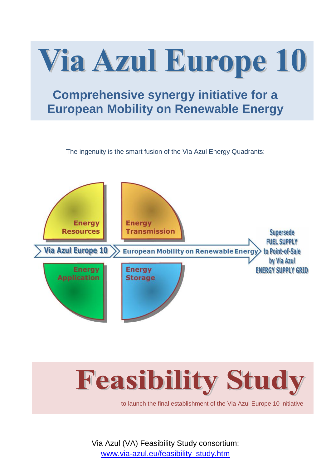

The ingenuity is the smart fusion of the Via Azul Energy Quadrants:





to launch the final establishment of the Via Azul Europe 10 initiative

Via Azul (VA) Feasibility Study consortium: www.via-azul.eu/feasibility\_study.htm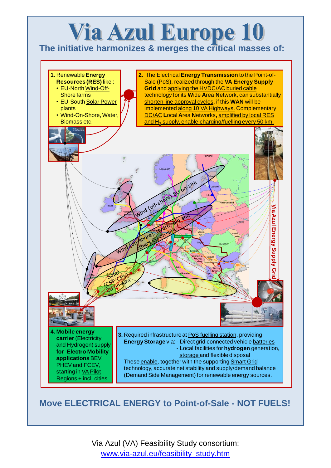## **Via Azul Europe 10**

**The initiative harmonizes & merges the critical masses of:**



## **Move ELECTRICAL ENERGY to Point-of-Sale - NOT FUELS!**

Via Azul (VA) Feasibility Study consortium: www.via-azul.eu/feasibility\_study.htm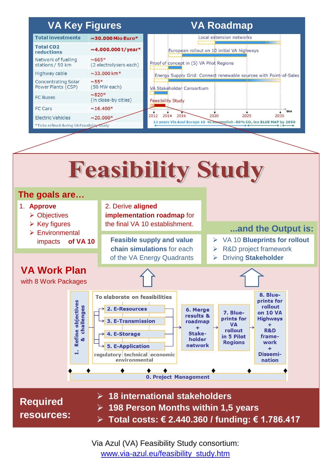## **VA Key Figures 6 Mars 2018 VA Roadmap** Local extension networks **Total investments**  $\sim$ 30.000 Mio Euro\* **Total CO2**  $\sim$  4.000.000 t/year\* European rollout on 10 initial VA highways reductions Network of fuelling  $~1.665*$

(2 electrolysers each)

 $\sim$ 33.000 km<sup>\*</sup>

(50 MW each)

 $~55*$ 

stations / 50 km

**Concentrating Solar** 

Highway cable

Proof of concept in (5) VA Pilot Regions

Energy Supply Grid: Connect renewable sources with Point-of-Sales



Via Azul (VA) Feasibility Study consortium: www.via-azul.eu/feasibility\_study.htm